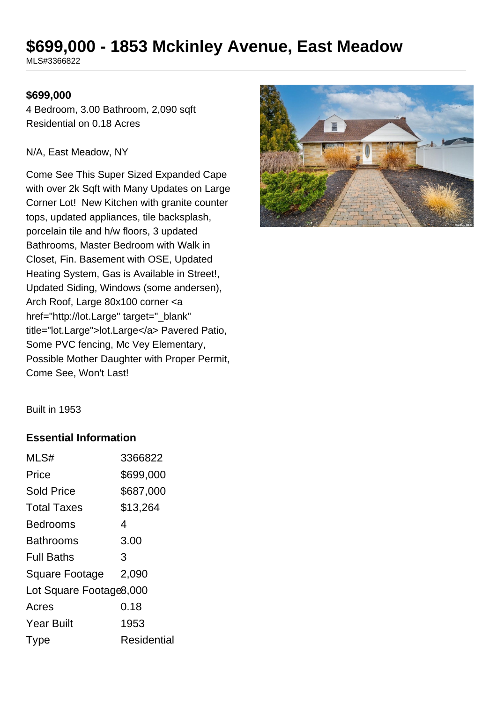# **\$699,000 - 1853 Mckinley Avenue, East Meadow**

MLS#3366822

#### **\$699,000**

4 Bedroom, 3.00 Bathroom, 2,090 sqft Residential on 0.18 Acres

#### N/A, East Meadow, NY

Come See This Super Sized Expanded Cape with over 2k Sqft with Many Updates on Large Corner Lot! New Kitchen with granite counter tops, updated appliances, tile backsplash, porcelain tile and h/w floors, 3 updated Bathrooms, Master Bedroom with Walk in Closet, Fin. Basement with OSE, Updated Heating System, Gas is Available in Street!, Updated Siding, Windows (some andersen), Arch Roof, Large 80x100 corner <a href="http://lot.Large" target="\_blank" title="lot.Large">lot.Large</a> Pavered Patio, Some PVC fencing, Mc Vey Elementary, Possible Mother Daughter with Proper Permit, Come See, Won't Last!



Built in 1953

#### **Essential Information**

| MLS#                    | 3366822     |
|-------------------------|-------------|
| Price                   | \$699,000   |
| <b>Sold Price</b>       | \$687,000   |
| <b>Total Taxes</b>      | \$13,264    |
| Bedrooms                | 4           |
| <b>Bathrooms</b>        | 3.00        |
| <b>Full Baths</b>       | 3           |
| Square Footage          | 2,090       |
| Lot Square Footage8,000 |             |
| Acres                   | 0.18        |
| <b>Year Built</b>       | 1953        |
| Type                    | Residential |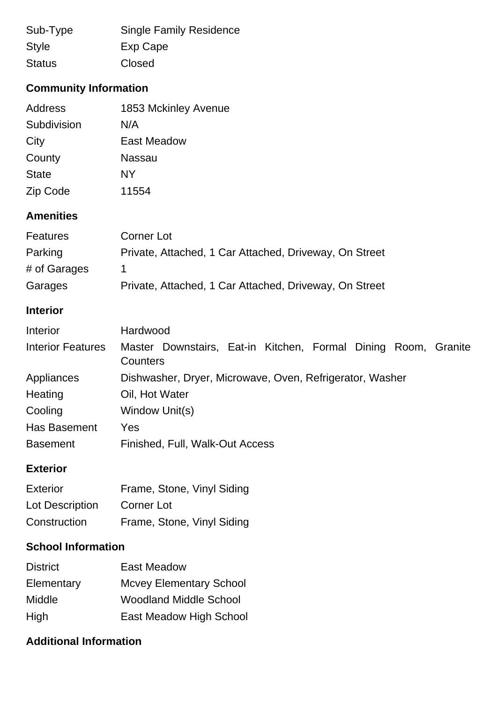| Sub-Type      | <b>Single Family Residence</b> |
|---------------|--------------------------------|
| <b>Style</b>  | Exp Cape                       |
| <b>Status</b> | Closed                         |

# **Community Information**

| Address      | 1853 Mckinley Avenue |
|--------------|----------------------|
| Subdivision  | N/A                  |
| City         | East Meadow          |
| County       | Nassau               |
| <b>State</b> | NY                   |
| Zip Code     | 11554                |

## **Amenities**

| <b>Features</b> | Corner Lot                                             |
|-----------------|--------------------------------------------------------|
| Parking         | Private, Attached, 1 Car Attached, Driveway, On Street |
| # of Garages    |                                                        |
| Garages         | Private, Attached, 1 Car Attached, Driveway, On Street |

## **Interior**

| Interior                 | Hardwood                                                                   |
|--------------------------|----------------------------------------------------------------------------|
| <b>Interior Features</b> | Master Downstairs, Eat-in Kitchen, Formal Dining Room, Granite<br>Counters |
| Appliances               | Dishwasher, Dryer, Microwave, Oven, Refrigerator, Washer                   |
| Heating                  | Oil, Hot Water                                                             |
| Cooling                  | Window Unit(s)                                                             |
| Has Basement             | Yes                                                                        |
| <b>Basement</b>          | Finished, Full, Walk-Out Access                                            |

## **Exterior**

| <b>Exterior</b> | Frame, Stone, Vinyl Siding |
|-----------------|----------------------------|
| Lot Description | Corner Lot                 |
| Construction    | Frame, Stone, Vinyl Siding |

# **School Information**

| <b>District</b> | East Meadow                    |
|-----------------|--------------------------------|
| Elementary      | <b>Mcvey Elementary School</b> |
| Middle          | <b>Woodland Middle School</b>  |
| High            | East Meadow High School        |

## **Additional Information**